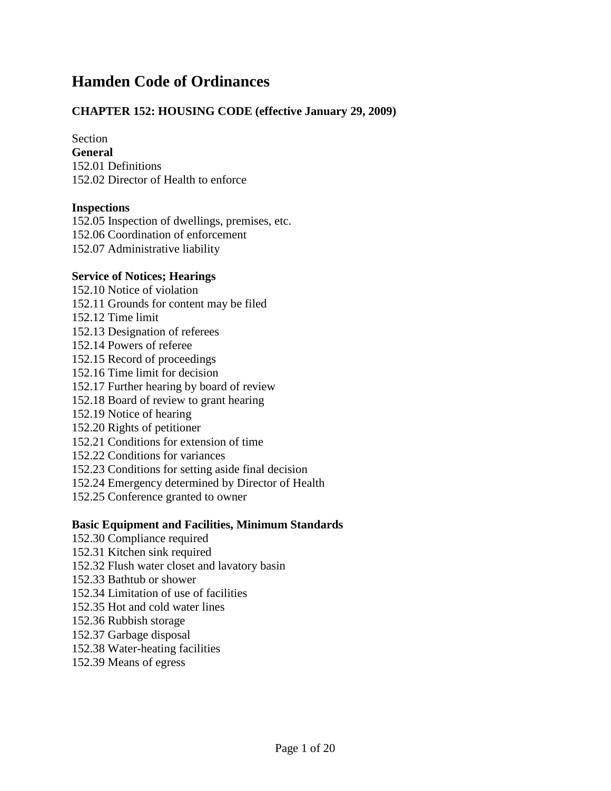# **Hamden Code of Ordinances**

### **CHAPTER 152: HOUSING CODE (effective January 29, 2009)**

Section

**General** 152.01 Definitions 152.02 Director of Health to enforce

#### **Inspections**

152.05 Inspection of dwellings, premises, etc. 152.06 Coordination of enforcement 152.07 Administrative liability

#### **Service of Notices; Hearings**

- 152.10 Notice of violation
- 152.11 Grounds for content may be filed
- 152.12 Time limit
- 152.13 Designation of referees
- 152.14 Powers of referee
- 152.15 Record of proceedings
- 152.16 Time limit for decision
- 152.17 Further hearing by board of review
- 152.18 Board of review to grant hearing
- 152.19 Notice of hearing
- 152.20 Rights of petitioner
- 152.21 Conditions for extension of time
- 152.22 Conditions for variances
- 152.23 Conditions for setting aside final decision
- 152.24 Emergency determined by Director of Health
- 152.25 Conference granted to owner

### **Basic Equipment and Facilities, Minimum Standards**

- 152.30 Compliance required
- 152.31 Kitchen sink required
- 152.32 Flush water closet and lavatory basin
- 152.33 Bathtub or shower
- 152.34 Limitation of use of facilities
- 152.35 Hot and cold water lines
- 152.36 Rubbish storage
- 152.37 Garbage disposal
- 152.38 Water-heating facilities
- 152.39 Means of egress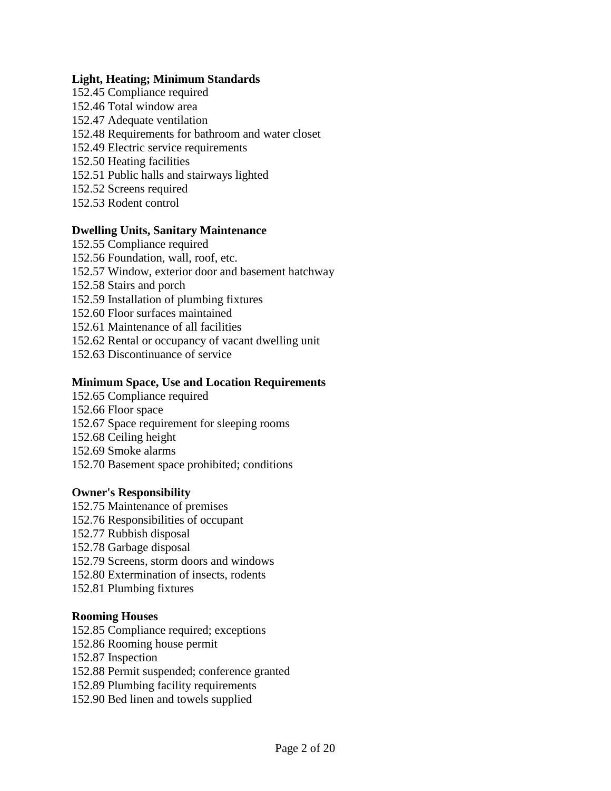#### **Light, Heating; Minimum Standards**

- 152.45 Compliance required 152.46 Total window area 152.47 Adequate ventilation 152.48 Requirements for bathroom and water closet 152.49 Electric service requirements 152.50 Heating facilities 152.51 Public halls and stairways lighted 152.52 Screens required
- 152.53 Rodent control

#### **Dwelling Units, Sanitary Maintenance**

152.55 Compliance required 152.56 Foundation, wall, roof, etc. 152.57 Window, exterior door and basement hatchway 152.58 Stairs and porch 152.59 Installation of plumbing fixtures 152.60 Floor surfaces maintained 152.61 Maintenance of all facilities 152.62 Rental or occupancy of vacant dwelling unit 152.63 Discontinuance of service

# **Minimum Space, Use and Location Requirements**

152.65 Compliance required 152.66 Floor space 152.67 Space requirement for sleeping rooms 152.68 Ceiling height 152.69 Smoke alarms 152.70 Basement space prohibited; conditions

#### **Owner's Responsibility**

- 152.75 Maintenance of premises
- 152.76 Responsibilities of occupant
- 152.77 Rubbish disposal
- 152.78 Garbage disposal
- 152.79 Screens, storm doors and windows
- 152.80 Extermination of insects, rodents
- 152.81 Plumbing fixtures

#### **Rooming Houses**

- 152.85 Compliance required; exceptions
- 152.86 Rooming house permit
- 152.87 Inspection
- 152.88 Permit suspended; conference granted
- 152.89 Plumbing facility requirements
- 152.90 Bed linen and towels supplied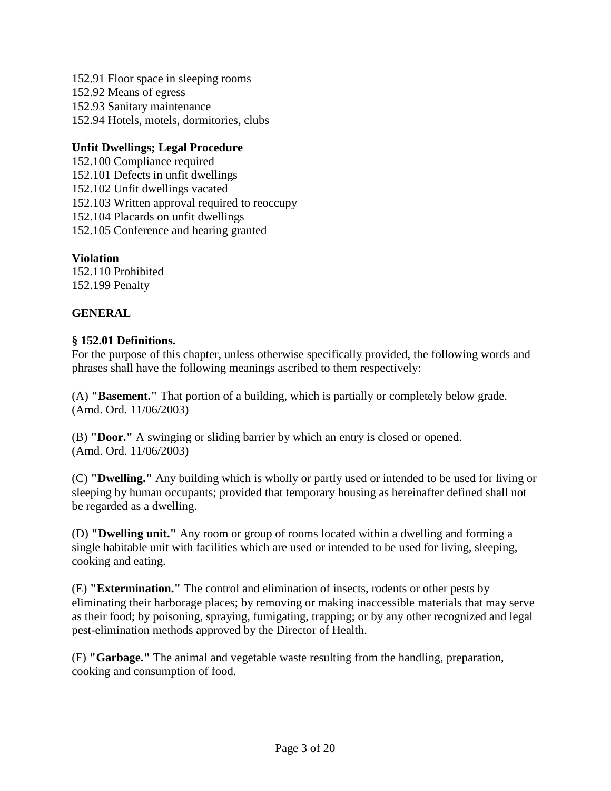152.91 Floor space in sleeping rooms 152.92 Means of egress 152.93 Sanitary maintenance 152.94 Hotels, motels, dormitories, clubs

### **Unfit Dwellings; Legal Procedure**

152.100 Compliance required 152.101 Defects in unfit dwellings 152.102 Unfit dwellings vacated 152.103 Written approval required to reoccupy 152.104 Placards on unfit dwellings 152.105 Conference and hearing granted

### **Violation**

152.110 Prohibited 152.199 Penalty

### **GENERAL**

#### **§ 152.01 Definitions.**

For the purpose of this chapter, unless otherwise specifically provided, the following words and phrases shall have the following meanings ascribed to them respectively:

(A) **"Basement."** That portion of a building, which is partially or completely below grade. (Amd. Ord. 11/06/2003)

(B) **"Door."** A swinging or sliding barrier by which an entry is closed or opened. (Amd. Ord. 11/06/2003)

(C) **"Dwelling."** Any building which is wholly or partly used or intended to be used for living or sleeping by human occupants; provided that temporary housing as hereinafter defined shall not be regarded as a dwelling.

(D) **"Dwelling unit."** Any room or group of rooms located within a dwelling and forming a single habitable unit with facilities which are used or intended to be used for living, sleeping, cooking and eating.

(E) **"Extermination."** The control and elimination of insects, rodents or other pests by eliminating their harborage places; by removing or making inaccessible materials that may serve as their food; by poisoning, spraying, fumigating, trapping; or by any other recognized and legal pest-elimination methods approved by the Director of Health.

(F) **"Garbage."** The animal and vegetable waste resulting from the handling, preparation, cooking and consumption of food.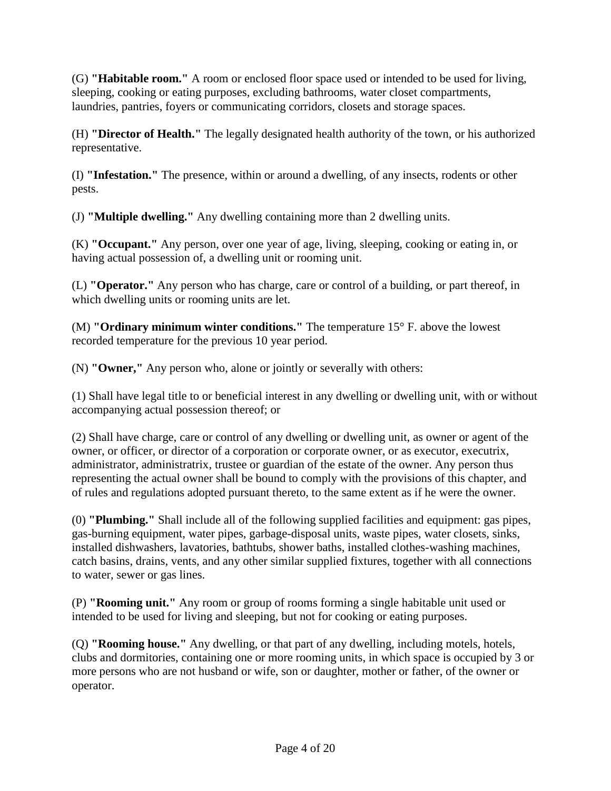(G) **"Habitable room."** A room or enclosed floor space used or intended to be used for living, sleeping, cooking or eating purposes, excluding bathrooms, water closet compartments, laundries, pantries, foyers or communicating corridors, closets and storage spaces.

(H) **"Director of Health."** The legally designated health authority of the town, or his authorized representative.

(I) **"Infestation."** The presence, within or around a dwelling, of any insects, rodents or other pests.

(J) **"Multiple dwelling."** Any dwelling containing more than 2 dwelling units.

(K) **"Occupant."** Any person, over one year of age, living, sleeping, cooking or eating in, or having actual possession of, a dwelling unit or rooming unit.

(L) **"Operator."** Any person who has charge, care or control of a building, or part thereof, in which dwelling units or rooming units are let.

(M) **"Ordinary minimum winter conditions."** The temperature 15° F. above the lowest recorded temperature for the previous 10 year period.

(N) **"Owner,"** Any person who, alone or jointly or severally with others:

(1) Shall have legal title to or beneficial interest in any dwelling or dwelling unit, with or without accompanying actual possession thereof; or

(2) Shall have charge, care or control of any dwelling or dwelling unit, as owner or agent of the owner, or officer, or director of a corporation or corporate owner, or as executor, executrix, administrator, administratrix, trustee or guardian of the estate of the owner. Any person thus representing the actual owner shall be bound to comply with the provisions of this chapter, and of rules and regulations adopted pursuant thereto, to the same extent as if he were the owner.

(0) **"Plumbing."** Shall include all of the following supplied facilities and equipment: gas pipes, gas-burning equipment, water pipes, garbage-disposal units, waste pipes, water closets, sinks, installed dishwashers, lavatories, bathtubs, shower baths, installed clothes-washing machines, catch basins, drains, vents, and any other similar supplied fixtures, together with all connections to water, sewer or gas lines.

(P) **"Rooming unit."** Any room or group of rooms forming a single habitable unit used or intended to be used for living and sleeping, but not for cooking or eating purposes.

(Q) **"Rooming house."** Any dwelling, or that part of any dwelling, including motels, hotels, clubs and dormitories, containing one or more rooming units, in which space is occupied by 3 or more persons who are not husband or wife, son or daughter, mother or father, of the owner or operator.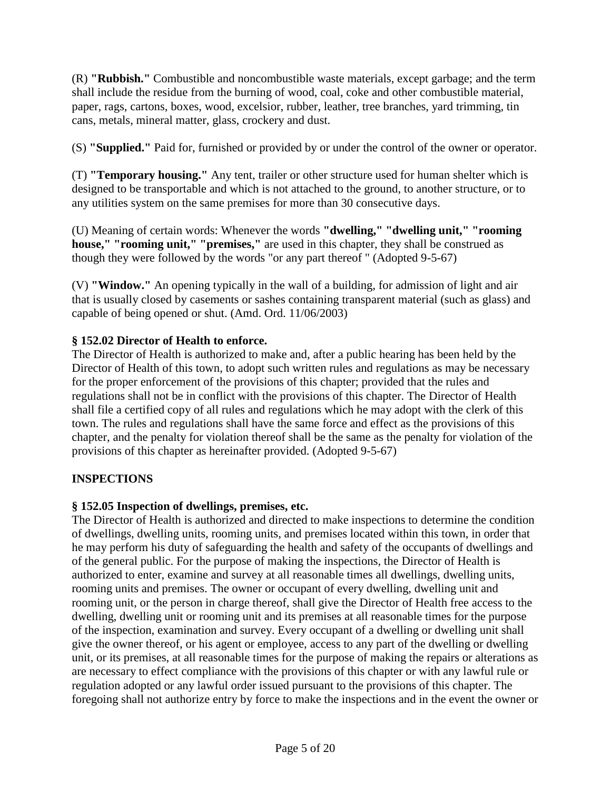(R) **"Rubbish."** Combustible and noncombustible waste materials, except garbage; and the term shall include the residue from the burning of wood, coal, coke and other combustible material, paper, rags, cartons, boxes, wood, excelsior, rubber, leather, tree branches, yard trimming, tin cans, metals, mineral matter, glass, crockery and dust.

(S) **"Supplied."** Paid for, furnished or provided by or under the control of the owner or operator.

(T) **"Temporary housing."** Any tent, trailer or other structure used for human shelter which is designed to be transportable and which is not attached to the ground, to another structure, or to any utilities system on the same premises for more than 30 consecutive days.

(U) Meaning of certain words: Whenever the words **"dwelling," "dwelling unit," "rooming house," "rooming unit," "premises,"** are used in this chapter, they shall be construed as though they were followed by the words "or any part thereof " (Adopted 9-5-67)

(V) **"Window."** An opening typically in the wall of a building, for admission of light and air that is usually closed by casements or sashes containing transparent material (such as glass) and capable of being opened or shut. (Amd. Ord. 11/06/2003)

### **§ 152.02 Director of Health to enforce.**

The Director of Health is authorized to make and, after a public hearing has been held by the Director of Health of this town, to adopt such written rules and regulations as may be necessary for the proper enforcement of the provisions of this chapter; provided that the rules and regulations shall not be in conflict with the provisions of this chapter. The Director of Health shall file a certified copy of all rules and regulations which he may adopt with the clerk of this town. The rules and regulations shall have the same force and effect as the provisions of this chapter, and the penalty for violation thereof shall be the same as the penalty for violation of the provisions of this chapter as hereinafter provided. (Adopted 9-5-67)

# **INSPECTIONS**

### **§ 152.05 Inspection of dwellings, premises, etc.**

The Director of Health is authorized and directed to make inspections to determine the condition of dwellings, dwelling units, rooming units, and premises located within this town, in order that he may perform his duty of safeguarding the health and safety of the occupants of dwellings and of the general public. For the purpose of making the inspections, the Director of Health is authorized to enter, examine and survey at all reasonable times all dwellings, dwelling units, rooming units and premises. The owner or occupant of every dwelling, dwelling unit and rooming unit, or the person in charge thereof, shall give the Director of Health free access to the dwelling, dwelling unit or rooming unit and its premises at all reasonable times for the purpose of the inspection, examination and survey. Every occupant of a dwelling or dwelling unit shall give the owner thereof, or his agent or employee, access to any part of the dwelling or dwelling unit, or its premises, at all reasonable times for the purpose of making the repairs or alterations as are necessary to effect compliance with the provisions of this chapter or with any lawful rule or regulation adopted or any lawful order issued pursuant to the provisions of this chapter. The foregoing shall not authorize entry by force to make the inspections and in the event the owner or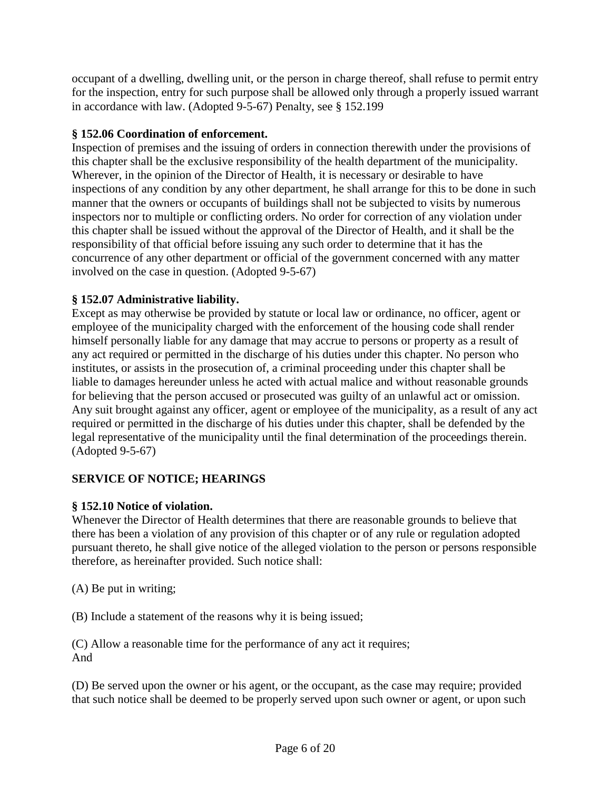occupant of a dwelling, dwelling unit, or the person in charge thereof, shall refuse to permit entry for the inspection, entry for such purpose shall be allowed only through a properly issued warrant in accordance with law. (Adopted 9-5-67) Penalty, see § 152.199

### **§ 152.06 Coordination of enforcement.**

Inspection of premises and the issuing of orders in connection therewith under the provisions of this chapter shall be the exclusive responsibility of the health department of the municipality. Wherever, in the opinion of the Director of Health, it is necessary or desirable to have inspections of any condition by any other department, he shall arrange for this to be done in such manner that the owners or occupants of buildings shall not be subjected to visits by numerous inspectors nor to multiple or conflicting orders. No order for correction of any violation under this chapter shall be issued without the approval of the Director of Health, and it shall be the responsibility of that official before issuing any such order to determine that it has the concurrence of any other department or official of the government concerned with any matter involved on the case in question. (Adopted 9-5-67)

# **§ 152.07 Administrative liability.**

Except as may otherwise be provided by statute or local law or ordinance, no officer, agent or employee of the municipality charged with the enforcement of the housing code shall render himself personally liable for any damage that may accrue to persons or property as a result of any act required or permitted in the discharge of his duties under this chapter. No person who institutes, or assists in the prosecution of, a criminal proceeding under this chapter shall be liable to damages hereunder unless he acted with actual malice and without reasonable grounds for believing that the person accused or prosecuted was guilty of an unlawful act or omission. Any suit brought against any officer, agent or employee of the municipality, as a result of any act required or permitted in the discharge of his duties under this chapter, shall be defended by the legal representative of the municipality until the final determination of the proceedings therein. (Adopted 9-5-67)

# **SERVICE OF NOTICE; HEARINGS**

# **§ 152.10 Notice of violation.**

Whenever the Director of Health determines that there are reasonable grounds to believe that there has been a violation of any provision of this chapter or of any rule or regulation adopted pursuant thereto, he shall give notice of the alleged violation to the person or persons responsible therefore, as hereinafter provided. Such notice shall:

(A) Be put in writing;

(B) Include a statement of the reasons why it is being issued;

(C) Allow a reasonable time for the performance of any act it requires; And

(D) Be served upon the owner or his agent, or the occupant, as the case may require; provided that such notice shall be deemed to be properly served upon such owner or agent, or upon such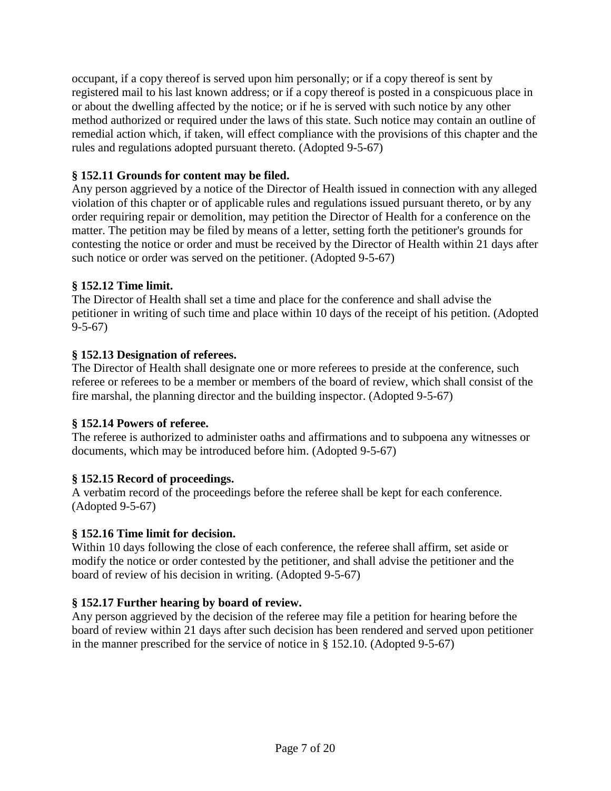occupant, if a copy thereof is served upon him personally; or if a copy thereof is sent by registered mail to his last known address; or if a copy thereof is posted in a conspicuous place in or about the dwelling affected by the notice; or if he is served with such notice by any other method authorized or required under the laws of this state. Such notice may contain an outline of remedial action which, if taken, will effect compliance with the provisions of this chapter and the rules and regulations adopted pursuant thereto. (Adopted 9-5-67)

# **§ 152.11 Grounds for content may be filed.**

Any person aggrieved by a notice of the Director of Health issued in connection with any alleged violation of this chapter or of applicable rules and regulations issued pursuant thereto, or by any order requiring repair or demolition, may petition the Director of Health for a conference on the matter. The petition may be filed by means of a letter, setting forth the petitioner's grounds for contesting the notice or order and must be received by the Director of Health within 21 days after such notice or order was served on the petitioner. (Adopted 9-5-67)

# **§ 152.12 Time limit.**

The Director of Health shall set a time and place for the conference and shall advise the petitioner in writing of such time and place within 10 days of the receipt of his petition. (Adopted 9-5-67)

### **§ 152.13 Designation of referees.**

The Director of Health shall designate one or more referees to preside at the conference, such referee or referees to be a member or members of the board of review, which shall consist of the fire marshal, the planning director and the building inspector. (Adopted 9-5-67)

### **§ 152.14 Powers of referee.**

The referee is authorized to administer oaths and affirmations and to subpoena any witnesses or documents, which may be introduced before him. (Adopted 9-5-67)

# **§ 152.15 Record of proceedings.**

A verbatim record of the proceedings before the referee shall be kept for each conference. (Adopted 9-5-67)

### **§ 152.16 Time limit for decision.**

Within 10 days following the close of each conference, the referee shall affirm, set aside or modify the notice or order contested by the petitioner, and shall advise the petitioner and the board of review of his decision in writing. (Adopted 9-5-67)

# **§ 152.17 Further hearing by board of review.**

Any person aggrieved by the decision of the referee may file a petition for hearing before the board of review within 21 days after such decision has been rendered and served upon petitioner in the manner prescribed for the service of notice in § 152.10. (Adopted 9-5-67)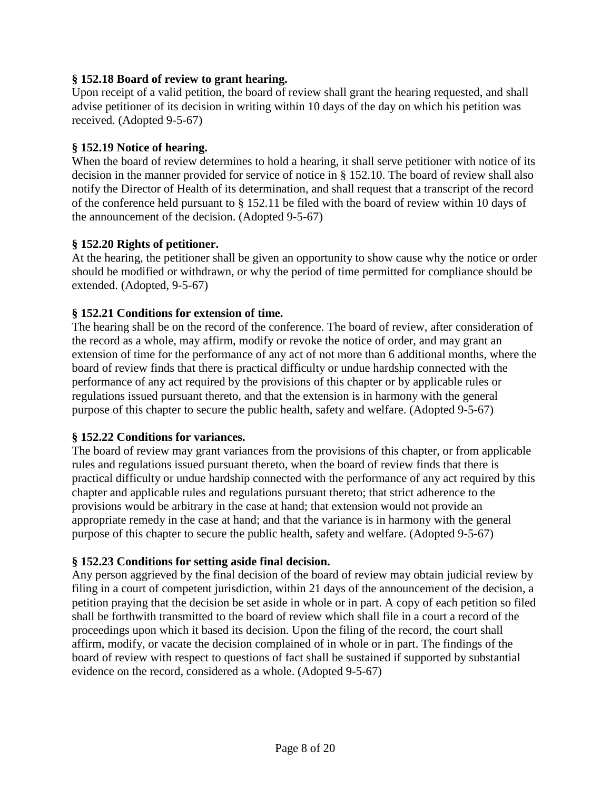### **§ 152.18 Board of review to grant hearing.**

Upon receipt of a valid petition, the board of review shall grant the hearing requested, and shall advise petitioner of its decision in writing within 10 days of the day on which his petition was received. (Adopted 9-5-67)

### **§ 152.19 Notice of hearing.**

When the board of review determines to hold a hearing, it shall serve petitioner with notice of its decision in the manner provided for service of notice in § 152.10. The board of review shall also notify the Director of Health of its determination, and shall request that a transcript of the record of the conference held pursuant to § 152.11 be filed with the board of review within 10 days of the announcement of the decision. (Adopted 9-5-67)

### **§ 152.20 Rights of petitioner.**

At the hearing, the petitioner shall be given an opportunity to show cause why the notice or order should be modified or withdrawn, or why the period of time permitted for compliance should be extended. (Adopted, 9-5-67)

### **§ 152.21 Conditions for extension of time.**

The hearing shall be on the record of the conference. The board of review, after consideration of the record as a whole, may affirm, modify or revoke the notice of order, and may grant an extension of time for the performance of any act of not more than 6 additional months, where the board of review finds that there is practical difficulty or undue hardship connected with the performance of any act required by the provisions of this chapter or by applicable rules or regulations issued pursuant thereto, and that the extension is in harmony with the general purpose of this chapter to secure the public health, safety and welfare. (Adopted 9-5-67)

### **§ 152.22 Conditions for variances.**

The board of review may grant variances from the provisions of this chapter, or from applicable rules and regulations issued pursuant thereto, when the board of review finds that there is practical difficulty or undue hardship connected with the performance of any act required by this chapter and applicable rules and regulations pursuant thereto; that strict adherence to the provisions would be arbitrary in the case at hand; that extension would not provide an appropriate remedy in the case at hand; and that the variance is in harmony with the general purpose of this chapter to secure the public health, safety and welfare. (Adopted 9-5-67)

### **§ 152.23 Conditions for setting aside final decision.**

Any person aggrieved by the final decision of the board of review may obtain judicial review by filing in a court of competent jurisdiction, within 21 days of the announcement of the decision, a petition praying that the decision be set aside in whole or in part. A copy of each petition so filed shall be forthwith transmitted to the board of review which shall file in a court a record of the proceedings upon which it based its decision. Upon the filing of the record, the court shall affirm, modify, or vacate the decision complained of in whole or in part. The findings of the board of review with respect to questions of fact shall be sustained if supported by substantial evidence on the record, considered as a whole. (Adopted 9-5-67)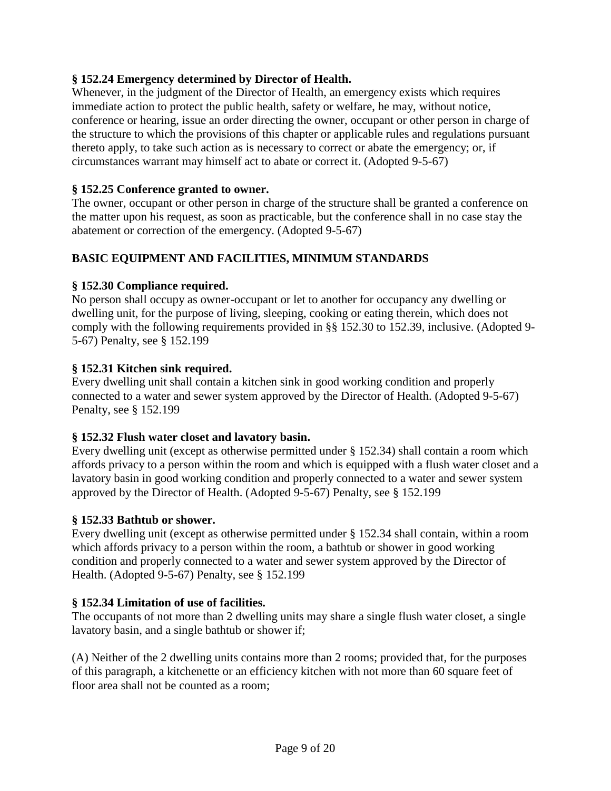### **§ 152.24 Emergency determined by Director of Health.**

Whenever, in the judgment of the Director of Health, an emergency exists which requires immediate action to protect the public health, safety or welfare, he may, without notice, conference or hearing, issue an order directing the owner, occupant or other person in charge of the structure to which the provisions of this chapter or applicable rules and regulations pursuant thereto apply, to take such action as is necessary to correct or abate the emergency; or, if circumstances warrant may himself act to abate or correct it. (Adopted 9-5-67)

### **§ 152.25 Conference granted to owner.**

The owner, occupant or other person in charge of the structure shall be granted a conference on the matter upon his request, as soon as practicable, but the conference shall in no case stay the abatement or correction of the emergency. (Adopted 9-5-67)

# **BASIC EQUIPMENT AND FACILITIES, MINIMUM STANDARDS**

### **§ 152.30 Compliance required.**

No person shall occupy as owner-occupant or let to another for occupancy any dwelling or dwelling unit, for the purpose of living, sleeping, cooking or eating therein, which does not comply with the following requirements provided in §§ 152.30 to 152.39, inclusive. (Adopted 9- 5-67) Penalty, see § 152.199

### **§ 152.31 Kitchen sink required.**

Every dwelling unit shall contain a kitchen sink in good working condition and properly connected to a water and sewer system approved by the Director of Health. (Adopted 9-5-67) Penalty, see § 152.199

### **§ 152.32 Flush water closet and lavatory basin.**

Every dwelling unit (except as otherwise permitted under § 152.34) shall contain a room which affords privacy to a person within the room and which is equipped with a flush water closet and a lavatory basin in good working condition and properly connected to a water and sewer system approved by the Director of Health. (Adopted 9-5-67) Penalty, see § 152.199

### **§ 152.33 Bathtub or shower.**

Every dwelling unit (except as otherwise permitted under § 152.34 shall contain, within a room which affords privacy to a person within the room, a bathtub or shower in good working condition and properly connected to a water and sewer system approved by the Director of Health. (Adopted 9-5-67) Penalty, see § 152.199

### **§ 152.34 Limitation of use of facilities.**

The occupants of not more than 2 dwelling units may share a single flush water closet, a single lavatory basin, and a single bathtub or shower if;

(A) Neither of the 2 dwelling units contains more than 2 rooms; provided that, for the purposes of this paragraph, a kitchenette or an efficiency kitchen with not more than 60 square feet of floor area shall not be counted as a room;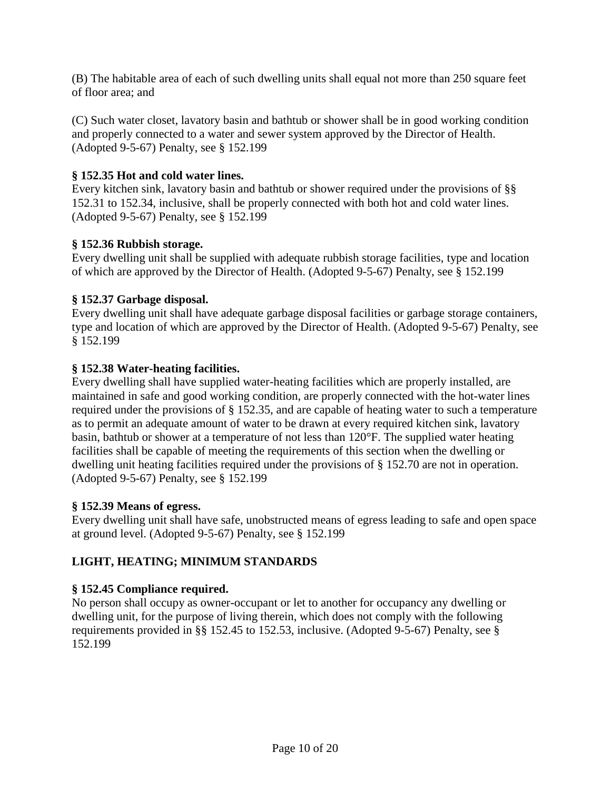(B) The habitable area of each of such dwelling units shall equal not more than 250 square feet of floor area; and

(C) Such water closet, lavatory basin and bathtub or shower shall be in good working condition and properly connected to a water and sewer system approved by the Director of Health. (Adopted 9-5-67) Penalty, see § 152.199

### **§ 152.35 Hot and cold water lines.**

Every kitchen sink, lavatory basin and bathtub or shower required under the provisions of §§ 152.31 to 152.34, inclusive, shall be properly connected with both hot and cold water lines. (Adopted 9-5-67) Penalty, see § 152.199

### **§ 152.36 Rubbish storage.**

Every dwelling unit shall be supplied with adequate rubbish storage facilities, type and location of which are approved by the Director of Health. (Adopted 9-5-67) Penalty, see § 152.199

### **§ 152.37 Garbage disposal.**

Every dwelling unit shall have adequate garbage disposal facilities or garbage storage containers, type and location of which are approved by the Director of Health. (Adopted 9-5-67) Penalty, see § 152.199

### **§ 152.38 Water-heating facilities.**

Every dwelling shall have supplied water-heating facilities which are properly installed, are maintained in safe and good working condition, are properly connected with the hot-water lines required under the provisions of § 152.35, and are capable of heating water to such a temperature as to permit an adequate amount of water to be drawn at every required kitchen sink, lavatory basin, bathtub or shower at a temperature of not less than 120°F. The supplied water heating facilities shall be capable of meeting the requirements of this section when the dwelling or dwelling unit heating facilities required under the provisions of § 152.70 are not in operation. (Adopted 9-5-67) Penalty, see § 152.199

### **§ 152.39 Means of egress.**

Every dwelling unit shall have safe, unobstructed means of egress leading to safe and open space at ground level. (Adopted 9-5-67) Penalty, see § 152.199

# **LIGHT, HEATING; MINIMUM STANDARDS**

### **§ 152.45 Compliance required.**

No person shall occupy as owner-occupant or let to another for occupancy any dwelling or dwelling unit, for the purpose of living therein, which does not comply with the following requirements provided in §§ 152.45 to 152.53, inclusive. (Adopted 9-5-67) Penalty, see § 152.199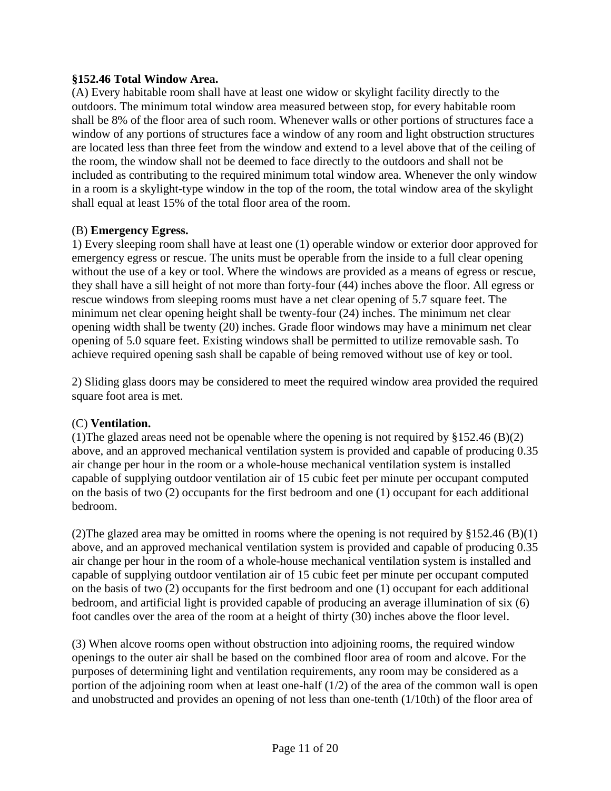### **§152.46 Total Window Area.**

(A) Every habitable room shall have at least one widow or skylight facility directly to the outdoors. The minimum total window area measured between stop, for every habitable room shall be 8% of the floor area of such room. Whenever walls or other portions of structures face a window of any portions of structures face a window of any room and light obstruction structures are located less than three feet from the window and extend to a level above that of the ceiling of the room, the window shall not be deemed to face directly to the outdoors and shall not be included as contributing to the required minimum total window area. Whenever the only window in a room is a skylight-type window in the top of the room, the total window area of the skylight shall equal at least 15% of the total floor area of the room.

### (B) **Emergency Egress.**

1) Every sleeping room shall have at least one (1) operable window or exterior door approved for emergency egress or rescue. The units must be operable from the inside to a full clear opening without the use of a key or tool. Where the windows are provided as a means of egress or rescue, they shall have a sill height of not more than forty-four (44) inches above the floor. All egress or rescue windows from sleeping rooms must have a net clear opening of 5.7 square feet. The minimum net clear opening height shall be twenty-four (24) inches. The minimum net clear opening width shall be twenty (20) inches. Grade floor windows may have a minimum net clear opening of 5.0 square feet. Existing windows shall be permitted to utilize removable sash. To achieve required opening sash shall be capable of being removed without use of key or tool.

2) Sliding glass doors may be considered to meet the required window area provided the required square foot area is met.

#### (C) **Ventilation.**

(1)The glazed areas need not be openable where the opening is not required by  $\S 152.46 \times (B)(2)$ above, and an approved mechanical ventilation system is provided and capable of producing 0.35 air change per hour in the room or a whole-house mechanical ventilation system is installed capable of supplying outdoor ventilation air of 15 cubic feet per minute per occupant computed on the basis of two (2) occupants for the first bedroom and one (1) occupant for each additional bedroom.

(2) The glazed area may be omitted in rooms where the opening is not required by  $\S 152.46$  (B)(1) above, and an approved mechanical ventilation system is provided and capable of producing 0.35 air change per hour in the room of a whole-house mechanical ventilation system is installed and capable of supplying outdoor ventilation air of 15 cubic feet per minute per occupant computed on the basis of two (2) occupants for the first bedroom and one (1) occupant for each additional bedroom, and artificial light is provided capable of producing an average illumination of six (6) foot candles over the area of the room at a height of thirty (30) inches above the floor level.

(3) When alcove rooms open without obstruction into adjoining rooms, the required window openings to the outer air shall be based on the combined floor area of room and alcove. For the purposes of determining light and ventilation requirements, any room may be considered as a portion of the adjoining room when at least one-half  $(1/2)$  of the area of the common wall is open and unobstructed and provides an opening of not less than one-tenth (1/10th) of the floor area of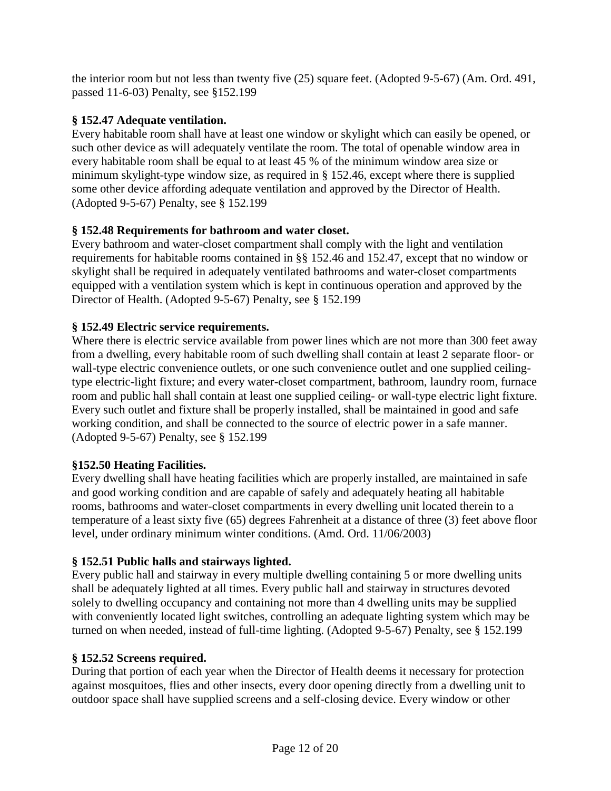the interior room but not less than twenty five (25) square feet. (Adopted 9-5-67) (Am. Ord. 491, passed 11-6-03) Penalty, see §152.199

# **§ 152.47 Adequate ventilation.**

Every habitable room shall have at least one window or skylight which can easily be opened, or such other device as will adequately ventilate the room. The total of openable window area in every habitable room shall be equal to at least 45 % of the minimum window area size or minimum skylight-type window size, as required in § 152.46, except where there is supplied some other device affording adequate ventilation and approved by the Director of Health. (Adopted 9-5-67) Penalty, see § 152.199

# **§ 152.48 Requirements for bathroom and water closet.**

Every bathroom and water-closet compartment shall comply with the light and ventilation requirements for habitable rooms contained in §§ 152.46 and 152.47, except that no window or skylight shall be required in adequately ventilated bathrooms and water-closet compartments equipped with a ventilation system which is kept in continuous operation and approved by the Director of Health. (Adopted 9-5-67) Penalty, see § 152.199

# **§ 152.49 Electric service requirements.**

Where there is electric service available from power lines which are not more than 300 feet away from a dwelling, every habitable room of such dwelling shall contain at least 2 separate floor- or wall-type electric convenience outlets, or one such convenience outlet and one supplied ceilingtype electric-light fixture; and every water-closet compartment, bathroom, laundry room, furnace room and public hall shall contain at least one supplied ceiling- or wall-type electric light fixture. Every such outlet and fixture shall be properly installed, shall be maintained in good and safe working condition, and shall be connected to the source of electric power in a safe manner. (Adopted 9-5-67) Penalty, see § 152.199

# **§152.50 Heating Facilities.**

Every dwelling shall have heating facilities which are properly installed, are maintained in safe and good working condition and are capable of safely and adequately heating all habitable rooms, bathrooms and water-closet compartments in every dwelling unit located therein to a temperature of a least sixty five (65) degrees Fahrenheit at a distance of three (3) feet above floor level, under ordinary minimum winter conditions. (Amd. Ord. 11/06/2003)

# **§ 152.51 Public halls and stairways lighted.**

Every public hall and stairway in every multiple dwelling containing 5 or more dwelling units shall be adequately lighted at all times. Every public hall and stairway in structures devoted solely to dwelling occupancy and containing not more than 4 dwelling units may be supplied with conveniently located light switches, controlling an adequate lighting system which may be turned on when needed, instead of full-time lighting. (Adopted 9-5-67) Penalty, see § 152.199

# **§ 152.52 Screens required.**

During that portion of each year when the Director of Health deems it necessary for protection against mosquitoes, flies and other insects, every door opening directly from a dwelling unit to outdoor space shall have supplied screens and a self-closing device. Every window or other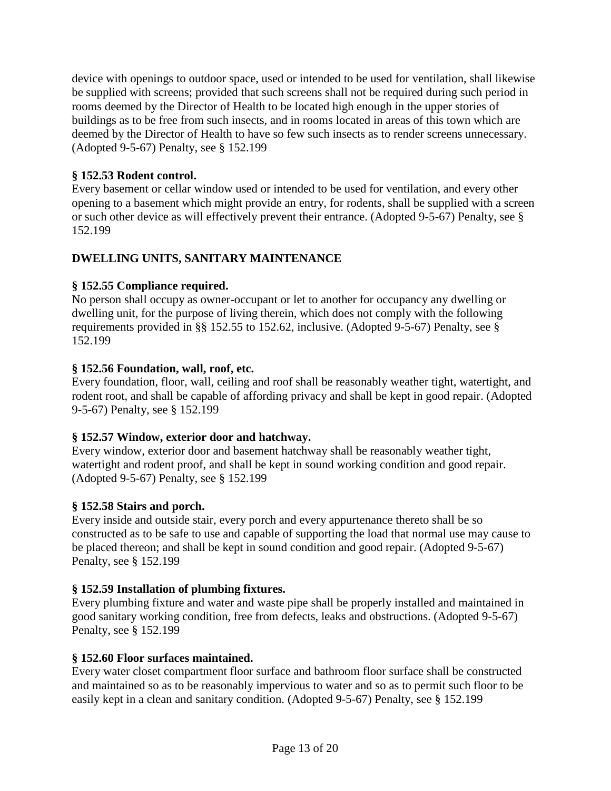device with openings to outdoor space, used or intended to be used for ventilation, shall likewise be supplied with screens; provided that such screens shall not be required during such period in rooms deemed by the Director of Health to be located high enough in the upper stories of buildings as to be free from such insects, and in rooms located in areas of this town which are deemed by the Director of Health to have so few such insects as to render screens unnecessary. (Adopted 9-5-67) Penalty, see § 152.199

### **§ 152.53 Rodent control.**

Every basement or cellar window used or intended to be used for ventilation, and every other opening to a basement which might provide an entry, for rodents, shall be supplied with a screen or such other device as will effectively prevent their entrance. (Adopted 9-5-67) Penalty, see § 152.199

# **DWELLING UNITS, SANITARY MAINTENANCE**

### **§ 152.55 Compliance required.**

No person shall occupy as owner-occupant or let to another for occupancy any dwelling or dwelling unit, for the purpose of living therein, which does not comply with the following requirements provided in §§ 152.55 to 152.62, inclusive. (Adopted 9-5-67) Penalty, see § 152.199

### **§ 152.56 Foundation, wall, roof, etc.**

Every foundation, floor, wall, ceiling and roof shall be reasonably weather tight, watertight, and rodent root, and shall be capable of affording privacy and shall be kept in good repair. (Adopted 9-5-67) Penalty, see § 152.199

# **§ 152.57 Window, exterior door and hatchway.**

Every window, exterior door and basement hatchway shall be reasonably weather tight, watertight and rodent proof, and shall be kept in sound working condition and good repair. (Adopted 9-5-67) Penalty, see § 152.199

### **§ 152.58 Stairs and porch.**

Every inside and outside stair, every porch and every appurtenance thereto shall be so constructed as to be safe to use and capable of supporting the load that normal use may cause to be placed thereon; and shall be kept in sound condition and good repair. (Adopted 9-5-67) Penalty, see § 152.199

### **§ 152.59 Installation of plumbing fixtures.**

Every plumbing fixture and water and waste pipe shall be properly installed and maintained in good sanitary working condition, free from defects, leaks and obstructions. (Adopted 9-5-67) Penalty, see § 152.199

### **§ 152.60 Floor surfaces maintained.**

Every water closet compartment floor surface and bathroom floor surface shall be constructed and maintained so as to be reasonably impervious to water and so as to permit such floor to be easily kept in a clean and sanitary condition. (Adopted 9-5-67) Penalty, see § 152.199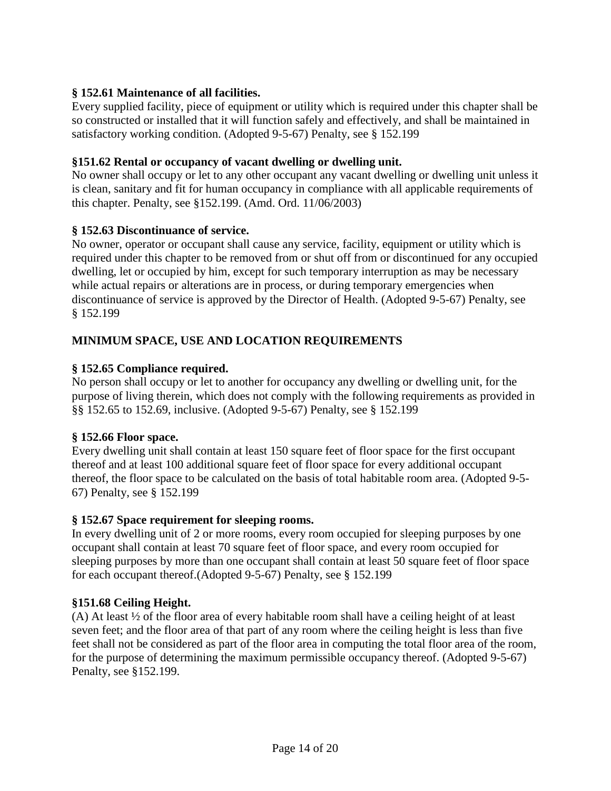### **§ 152.61 Maintenance of all facilities.**

Every supplied facility, piece of equipment or utility which is required under this chapter shall be so constructed or installed that it will function safely and effectively, and shall be maintained in satisfactory working condition. (Adopted 9-5-67) Penalty, see § 152.199

#### **§151.62 Rental or occupancy of vacant dwelling or dwelling unit.**

No owner shall occupy or let to any other occupant any vacant dwelling or dwelling unit unless it is clean, sanitary and fit for human occupancy in compliance with all applicable requirements of this chapter. Penalty, see §152.199. (Amd. Ord. 11/06/2003)

#### **§ 152.63 Discontinuance of service.**

No owner, operator or occupant shall cause any service, facility, equipment or utility which is required under this chapter to be removed from or shut off from or discontinued for any occupied dwelling, let or occupied by him, except for such temporary interruption as may be necessary while actual repairs or alterations are in process, or during temporary emergencies when discontinuance of service is approved by the Director of Health. (Adopted 9-5-67) Penalty, see § 152.199

### **MINIMUM SPACE, USE AND LOCATION REQUIREMENTS**

### **§ 152.65 Compliance required.**

No person shall occupy or let to another for occupancy any dwelling or dwelling unit, for the purpose of living therein, which does not comply with the following requirements as provided in §§ 152.65 to 152.69, inclusive. (Adopted 9-5-67) Penalty, see § 152.199

#### **§ 152.66 Floor space.**

Every dwelling unit shall contain at least 150 square feet of floor space for the first occupant thereof and at least 100 additional square feet of floor space for every additional occupant thereof, the floor space to be calculated on the basis of total habitable room area. (Adopted 9-5- 67) Penalty, see § 152.199

#### **§ 152.67 Space requirement for sleeping rooms.**

In every dwelling unit of 2 or more rooms, every room occupied for sleeping purposes by one occupant shall contain at least 70 square feet of floor space, and every room occupied for sleeping purposes by more than one occupant shall contain at least 50 square feet of floor space for each occupant thereof.(Adopted 9-5-67) Penalty, see § 152.199

#### **§151.68 Ceiling Height.**

(A) At least ½ of the floor area of every habitable room shall have a ceiling height of at least seven feet; and the floor area of that part of any room where the ceiling height is less than five feet shall not be considered as part of the floor area in computing the total floor area of the room, for the purpose of determining the maximum permissible occupancy thereof. (Adopted 9-5-67) Penalty, see §152.199.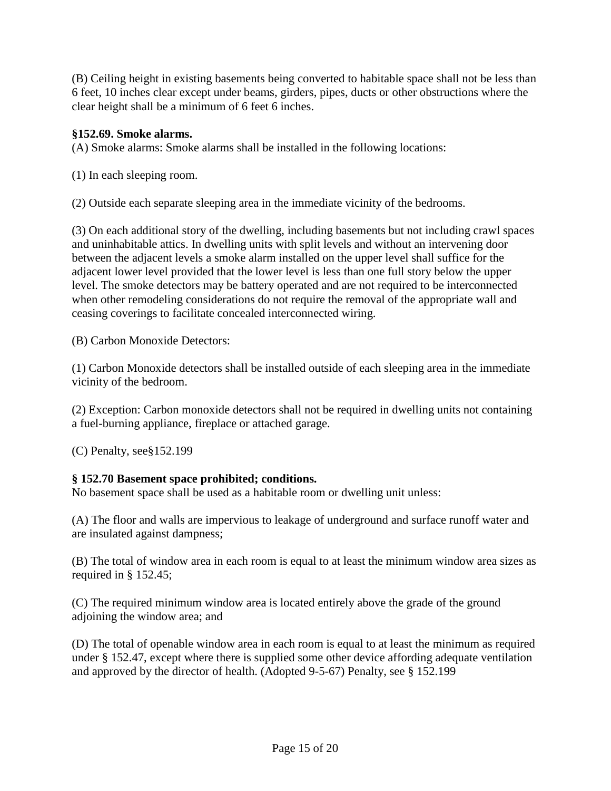(B) Ceiling height in existing basements being converted to habitable space shall not be less than 6 feet, 10 inches clear except under beams, girders, pipes, ducts or other obstructions where the clear height shall be a minimum of 6 feet 6 inches.

### **§152.69. Smoke alarms.**

(A) Smoke alarms: Smoke alarms shall be installed in the following locations:

(1) In each sleeping room.

(2) Outside each separate sleeping area in the immediate vicinity of the bedrooms.

(3) On each additional story of the dwelling, including basements but not including crawl spaces and uninhabitable attics. In dwelling units with split levels and without an intervening door between the adjacent levels a smoke alarm installed on the upper level shall suffice for the adjacent lower level provided that the lower level is less than one full story below the upper level. The smoke detectors may be battery operated and are not required to be interconnected when other remodeling considerations do not require the removal of the appropriate wall and ceasing coverings to facilitate concealed interconnected wiring.

(B) Carbon Monoxide Detectors:

(1) Carbon Monoxide detectors shall be installed outside of each sleeping area in the immediate vicinity of the bedroom.

(2) Exception: Carbon monoxide detectors shall not be required in dwelling units not containing a fuel-burning appliance, fireplace or attached garage.

(C) Penalty, see§152.199

### **§ 152.70 Basement space prohibited; conditions.**

No basement space shall be used as a habitable room or dwelling unit unless:

(A) The floor and walls are impervious to leakage of underground and surface runoff water and are insulated against dampness;

(B) The total of window area in each room is equal to at least the minimum window area sizes as required in § 152.45;

(C) The required minimum window area is located entirely above the grade of the ground adjoining the window area; and

(D) The total of openable window area in each room is equal to at least the minimum as required under § 152.47, except where there is supplied some other device affording adequate ventilation and approved by the director of health. (Adopted 9-5-67) Penalty, see § 152.199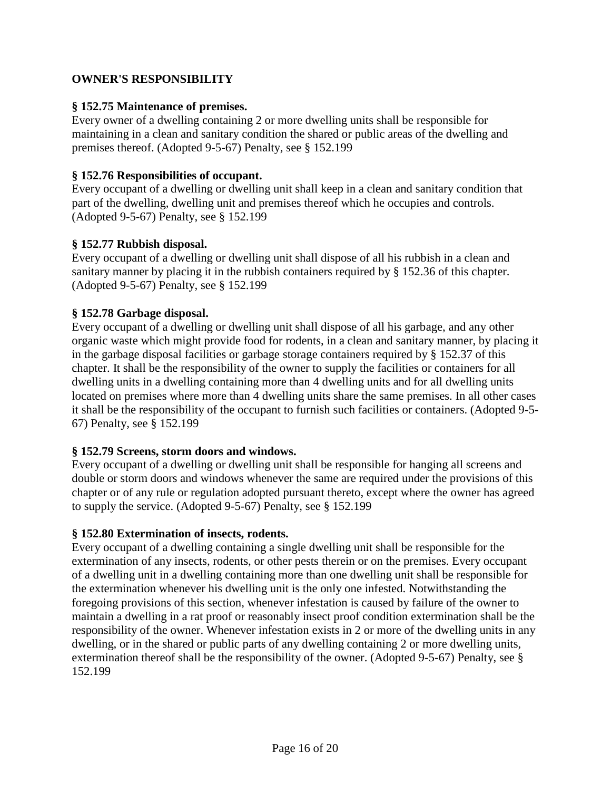### **OWNER'S RESPONSIBILITY**

#### **§ 152.75 Maintenance of premises.**

Every owner of a dwelling containing 2 or more dwelling units shall be responsible for maintaining in a clean and sanitary condition the shared or public areas of the dwelling and premises thereof. (Adopted 9-5-67) Penalty, see § 152.199

#### **§ 152.76 Responsibilities of occupant.**

Every occupant of a dwelling or dwelling unit shall keep in a clean and sanitary condition that part of the dwelling, dwelling unit and premises thereof which he occupies and controls. (Adopted 9-5-67) Penalty, see § 152.199

#### **§ 152.77 Rubbish disposal.**

Every occupant of a dwelling or dwelling unit shall dispose of all his rubbish in a clean and sanitary manner by placing it in the rubbish containers required by § 152.36 of this chapter. (Adopted 9-5-67) Penalty, see § 152.199

#### **§ 152.78 Garbage disposal.**

Every occupant of a dwelling or dwelling unit shall dispose of all his garbage, and any other organic waste which might provide food for rodents, in a clean and sanitary manner, by placing it in the garbage disposal facilities or garbage storage containers required by § 152.37 of this chapter. It shall be the responsibility of the owner to supply the facilities or containers for all dwelling units in a dwelling containing more than 4 dwelling units and for all dwelling units located on premises where more than 4 dwelling units share the same premises. In all other cases it shall be the responsibility of the occupant to furnish such facilities or containers. (Adopted 9-5- 67) Penalty, see § 152.199

#### **§ 152.79 Screens, storm doors and windows.**

Every occupant of a dwelling or dwelling unit shall be responsible for hanging all screens and double or storm doors and windows whenever the same are required under the provisions of this chapter or of any rule or regulation adopted pursuant thereto, except where the owner has agreed to supply the service. (Adopted 9-5-67) Penalty, see § 152.199

### **§ 152.80 Extermination of insects, rodents.**

Every occupant of a dwelling containing a single dwelling unit shall be responsible for the extermination of any insects, rodents, or other pests therein or on the premises. Every occupant of a dwelling unit in a dwelling containing more than one dwelling unit shall be responsible for the extermination whenever his dwelling unit is the only one infested. Notwithstanding the foregoing provisions of this section, whenever infestation is caused by failure of the owner to maintain a dwelling in a rat proof or reasonably insect proof condition extermination shall be the responsibility of the owner. Whenever infestation exists in 2 or more of the dwelling units in any dwelling, or in the shared or public parts of any dwelling containing 2 or more dwelling units, extermination thereof shall be the responsibility of the owner. (Adopted 9-5-67) Penalty, see § 152.199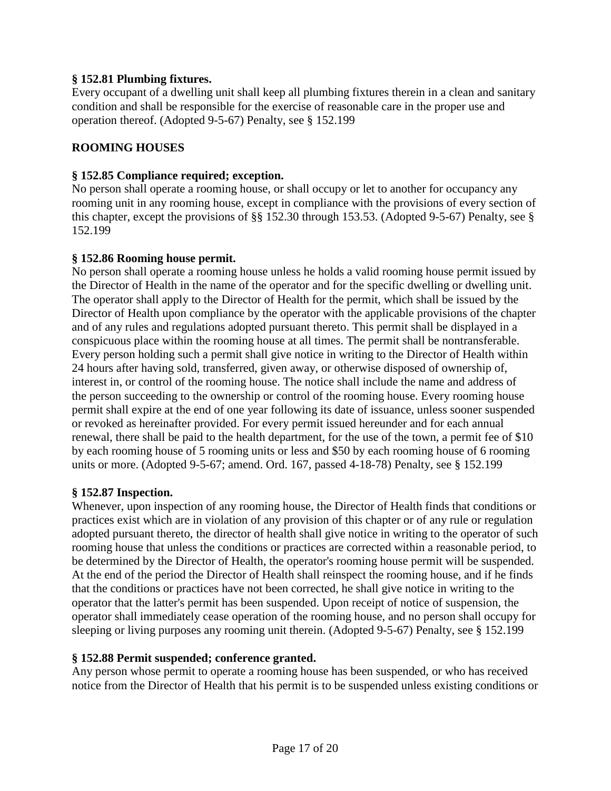### **§ 152.81 Plumbing fixtures.**

Every occupant of a dwelling unit shall keep all plumbing fixtures therein in a clean and sanitary condition and shall be responsible for the exercise of reasonable care in the proper use and operation thereof. (Adopted 9-5-67) Penalty, see § 152.199

### **ROOMING HOUSES**

### **§ 152.85 Compliance required; exception.**

No person shall operate a rooming house, or shall occupy or let to another for occupancy any rooming unit in any rooming house, except in compliance with the provisions of every section of this chapter, except the provisions of §§ 152.30 through 153.53. (Adopted 9-5-67) Penalty, see § 152.199

### **§ 152.86 Rooming house permit.**

No person shall operate a rooming house unless he holds a valid rooming house permit issued by the Director of Health in the name of the operator and for the specific dwelling or dwelling unit. The operator shall apply to the Director of Health for the permit, which shall be issued by the Director of Health upon compliance by the operator with the applicable provisions of the chapter and of any rules and regulations adopted pursuant thereto. This permit shall be displayed in a conspicuous place within the rooming house at all times. The permit shall be nontransferable. Every person holding such a permit shall give notice in writing to the Director of Health within 24 hours after having sold, transferred, given away, or otherwise disposed of ownership of, interest in, or control of the rooming house. The notice shall include the name and address of the person succeeding to the ownership or control of the rooming house. Every rooming house permit shall expire at the end of one year following its date of issuance, unless sooner suspended or revoked as hereinafter provided. For every permit issued hereunder and for each annual renewal, there shall be paid to the health department, for the use of the town, a permit fee of \$10 by each rooming house of 5 rooming units or less and \$50 by each rooming house of 6 rooming units or more. (Adopted 9-5-67; amend. Ord. 167, passed 4-18-78) Penalty, see § 152.199

### **§ 152.87 Inspection.**

Whenever, upon inspection of any rooming house, the Director of Health finds that conditions or practices exist which are in violation of any provision of this chapter or of any rule or regulation adopted pursuant thereto, the director of health shall give notice in writing to the operator of such rooming house that unless the conditions or practices are corrected within a reasonable period, to be determined by the Director of Health, the operator's rooming house permit will be suspended. At the end of the period the Director of Health shall reinspect the rooming house, and if he finds that the conditions or practices have not been corrected, he shall give notice in writing to the operator that the latter's permit has been suspended. Upon receipt of notice of suspension, the operator shall immediately cease operation of the rooming house, and no person shall occupy for sleeping or living purposes any rooming unit therein. (Adopted 9-5-67) Penalty, see § 152.199

### **§ 152.88 Permit suspended; conference granted.**

Any person whose permit to operate a rooming house has been suspended, or who has received notice from the Director of Health that his permit is to be suspended unless existing conditions or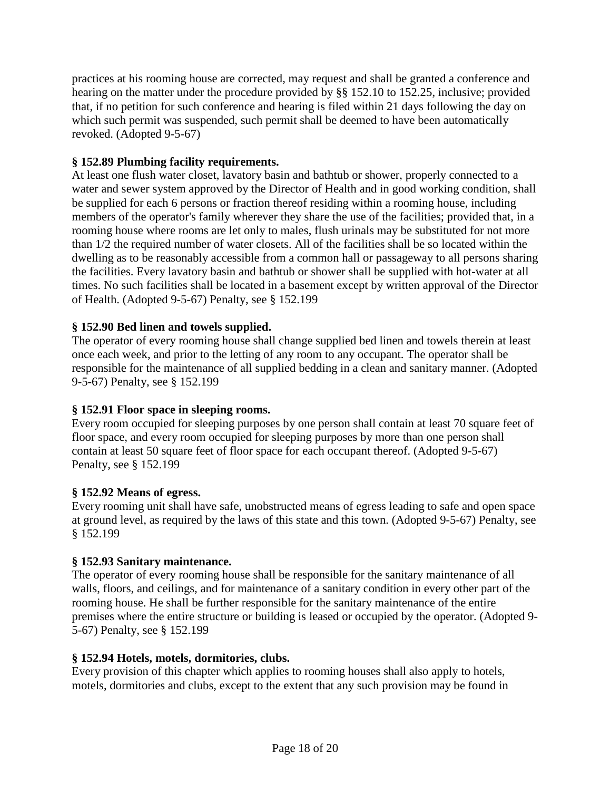practices at his rooming house are corrected, may request and shall be granted a conference and hearing on the matter under the procedure provided by §§ 152.10 to 152.25, inclusive; provided that, if no petition for such conference and hearing is filed within 21 days following the day on which such permit was suspended, such permit shall be deemed to have been automatically revoked. (Adopted 9-5-67)

### **§ 152.89 Plumbing facility requirements.**

At least one flush water closet, lavatory basin and bathtub or shower, properly connected to a water and sewer system approved by the Director of Health and in good working condition, shall be supplied for each 6 persons or fraction thereof residing within a rooming house, including members of the operator's family wherever they share the use of the facilities; provided that, in a rooming house where rooms are let only to males, flush urinals may be substituted for not more than 1/2 the required number of water closets. All of the facilities shall be so located within the dwelling as to be reasonably accessible from a common hall or passageway to all persons sharing the facilities. Every lavatory basin and bathtub or shower shall be supplied with hot-water at all times. No such facilities shall be located in a basement except by written approval of the Director of Health. (Adopted 9-5-67) Penalty, see § 152.199

### **§ 152.90 Bed linen and towels supplied.**

The operator of every rooming house shall change supplied bed linen and towels therein at least once each week, and prior to the letting of any room to any occupant. The operator shall be responsible for the maintenance of all supplied bedding in a clean and sanitary manner. (Adopted 9-5-67) Penalty, see § 152.199

# **§ 152.91 Floor space in sleeping rooms.**

Every room occupied for sleeping purposes by one person shall contain at least 70 square feet of floor space, and every room occupied for sleeping purposes by more than one person shall contain at least 50 square feet of floor space for each occupant thereof. (Adopted 9-5-67) Penalty, see § 152.199

### **§ 152.92 Means of egress.**

Every rooming unit shall have safe, unobstructed means of egress leading to safe and open space at ground level, as required by the laws of this state and this town. (Adopted 9-5-67) Penalty, see § 152.199

### **§ 152.93 Sanitary maintenance.**

The operator of every rooming house shall be responsible for the sanitary maintenance of all walls, floors, and ceilings, and for maintenance of a sanitary condition in every other part of the rooming house. He shall be further responsible for the sanitary maintenance of the entire premises where the entire structure or building is leased or occupied by the operator. (Adopted 9- 5-67) Penalty, see § 152.199

### **§ 152.94 Hotels, motels, dormitories, clubs.**

Every provision of this chapter which applies to rooming houses shall also apply to hotels, motels, dormitories and clubs, except to the extent that any such provision may be found in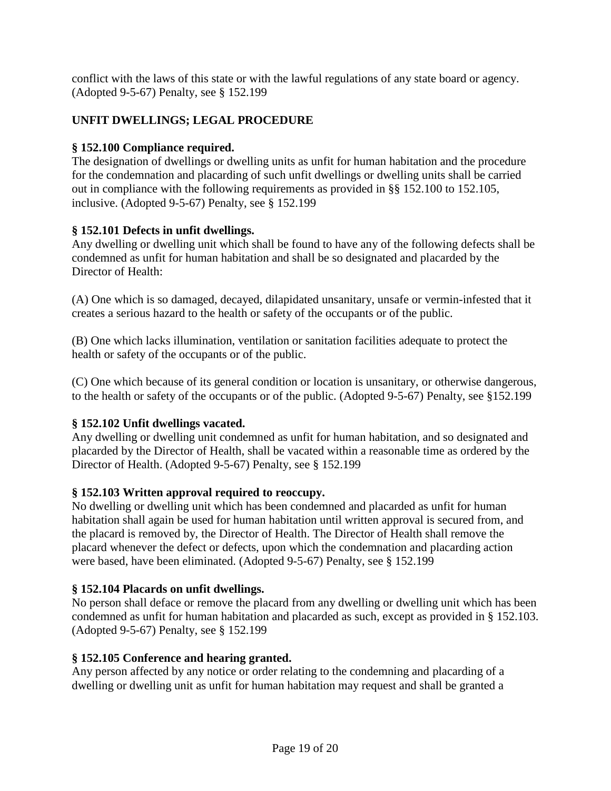conflict with the laws of this state or with the lawful regulations of any state board or agency. (Adopted 9-5-67) Penalty, see § 152.199

# **UNFIT DWELLINGS; LEGAL PROCEDURE**

# **§ 152.100 Compliance required.**

The designation of dwellings or dwelling units as unfit for human habitation and the procedure for the condemnation and placarding of such unfit dwellings or dwelling units shall be carried out in compliance with the following requirements as provided in §§ 152.100 to 152.105, inclusive. (Adopted 9-5-67) Penalty, see § 152.199

### **§ 152.101 Defects in unfit dwellings.**

Any dwelling or dwelling unit which shall be found to have any of the following defects shall be condemned as unfit for human habitation and shall be so designated and placarded by the Director of Health:

(A) One which is so damaged, decayed, dilapidated unsanitary, unsafe or vermin-infested that it creates a serious hazard to the health or safety of the occupants or of the public.

(B) One which lacks illumination, ventilation or sanitation facilities adequate to protect the health or safety of the occupants or of the public.

(C) One which because of its general condition or location is unsanitary, or otherwise dangerous, to the health or safety of the occupants or of the public. (Adopted 9-5-67) Penalty, see §152.199

### **§ 152.102 Unfit dwellings vacated.**

Any dwelling or dwelling unit condemned as unfit for human habitation, and so designated and placarded by the Director of Health, shall be vacated within a reasonable time as ordered by the Director of Health. (Adopted 9-5-67) Penalty, see § 152.199

### **§ 152.103 Written approval required to reoccupy.**

No dwelling or dwelling unit which has been condemned and placarded as unfit for human habitation shall again be used for human habitation until written approval is secured from, and the placard is removed by, the Director of Health. The Director of Health shall remove the placard whenever the defect or defects, upon which the condemnation and placarding action were based, have been eliminated. (Adopted 9-5-67) Penalty, see § 152.199

### **§ 152.104 Placards on unfit dwellings.**

No person shall deface or remove the placard from any dwelling or dwelling unit which has been condemned as unfit for human habitation and placarded as such, except as provided in § 152.103. (Adopted 9-5-67) Penalty, see § 152.199

### **§ 152.105 Conference and hearing granted.**

Any person affected by any notice or order relating to the condemning and placarding of a dwelling or dwelling unit as unfit for human habitation may request and shall be granted a